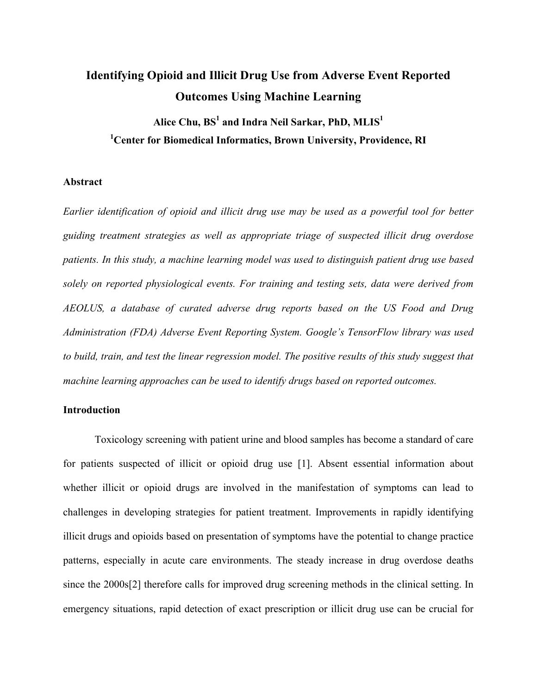# **Identifying Opioid and Illicit Drug Use from Adverse Event Reported Outcomes Using Machine Learning**

**Alice Chu, BS<sup>1</sup> and Indra Neil Sarkar, PhD, MLIS<sup>1</sup> 1 Center for Biomedical Informatics, Brown University, Providence, RI**

#### **Abstract**

*Earlier identification of opioid and illicit drug use may be used as a powerful tool for better guiding treatment strategies as well as appropriate triage of suspected illicit drug overdose patients. In this study, a machine learning model was used to distinguish patient drug use based solely on reported physiological events. For training and testing sets, data were derived from AEOLUS, a database of curated adverse drug reports based on the US Food and Drug Administration (FDA) Adverse Event Reporting System. Google's TensorFlow library was used to build, train, and test the linear regression model. The positive results of this study suggest that machine learning approaches can be used to identify drugs based on reported outcomes.* 

## **Introduction**

Toxicology screening with patient urine and blood samples has become a standard of care for patients suspected of illicit or opioid drug use [1]. Absent essential information about whether illicit or opioid drugs are involved in the manifestation of symptoms can lead to challenges in developing strategies for patient treatment. Improvements in rapidly identifying illicit drugs and opioids based on presentation of symptoms have the potential to change practice patterns, especially in acute care environments. The steady increase in drug overdose deaths since the 2000s[2] therefore calls for improved drug screening methods in the clinical setting. In emergency situations, rapid detection of exact prescription or illicit drug use can be crucial for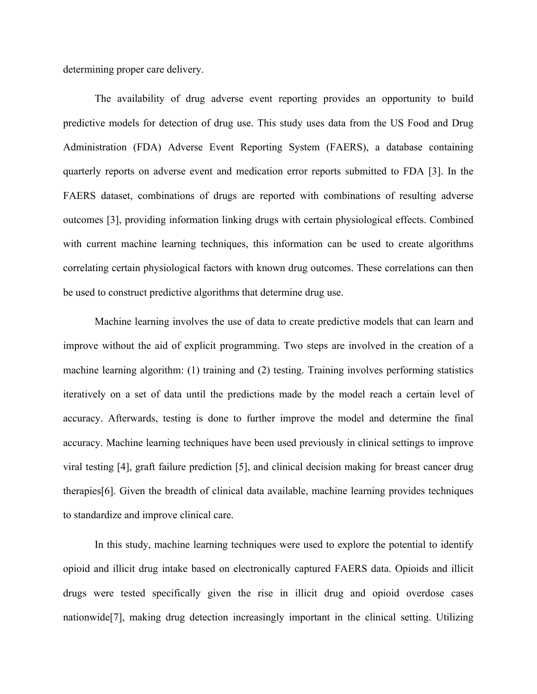determining proper care delivery.

The availability of drug adverse event reporting provides an opportunity to build predictive models for detection of drug use. This study uses data from the US Food and Drug Administration (FDA) Adverse Event Reporting System (FAERS), a database containing quarterly reports on adverse event and medication error reports submitted to FDA [3]. In the FAERS dataset, combinations of drugs are reported with combinations of resulting adverse outcomes [3], providing information linking drugs with certain physiological effects. Combined with current machine learning techniques, this information can be used to create algorithms correlating certain physiological factors with known drug outcomes. These correlations can then be used to construct predictive algorithms that determine drug use.

Machine learning involves the use of data to create predictive models that can learn and improve without the aid of explicit programming. Two steps are involved in the creation of a machine learning algorithm: (1) training and (2) testing. Training involves performing statistics iteratively on a set of data until the predictions made by the model reach a certain level of accuracy. Afterwards, testing is done to further improve the model and determine the final accuracy. Machine learning techniques have been used previously in clinical settings to improve viral testing [4], graft failure prediction [5], and clinical decision making for breast cancer drug therapies[6]. Given the breadth of clinical data available, machine learning provides techniques to standardize and improve clinical care.

In this study, machine learning techniques were used to explore the potential to identify opioid and illicit drug intake based on electronically captured FAERS data. Opioids and illicit drugs were tested specifically given the rise in illicit drug and opioid overdose cases nationwide[7], making drug detection increasingly important in the clinical setting. Utilizing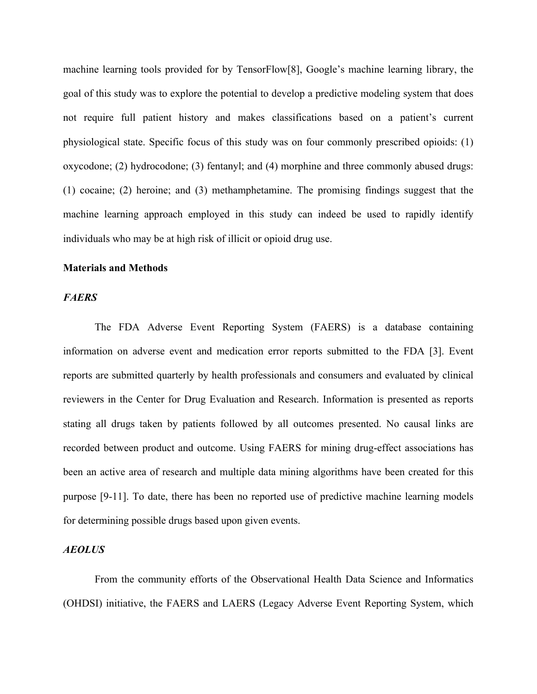machine learning tools provided for by TensorFlow[8], Google's machine learning library, the goal of this study was to explore the potential to develop a predictive modeling system that does not require full patient history and makes classifications based on a patient's current physiological state. Specific focus of this study was on four commonly prescribed opioids: (1) oxycodone; (2) hydrocodone; (3) fentanyl; and (4) morphine and three commonly abused drugs: (1) cocaine; (2) heroine; and (3) methamphetamine. The promising findings suggest that the machine learning approach employed in this study can indeed be used to rapidly identify individuals who may be at high risk of illicit or opioid drug use.

#### **Materials and Methods**

#### *FAERS*

The FDA Adverse Event Reporting System (FAERS) is a database containing information on adverse event and medication error reports submitted to the FDA [3]. Event reports are submitted quarterly by health professionals and consumers and evaluated by clinical reviewers in the Center for Drug Evaluation and Research. Information is presented as reports stating all drugs taken by patients followed by all outcomes presented. No causal links are recorded between product and outcome. Using FAERS for mining drug-effect associations has been an active area of research and multiple data mining algorithms have been created for this purpose [9-11]. To date, there has been no reported use of predictive machine learning models for determining possible drugs based upon given events.

## *AEOLUS*

From the community efforts of the Observational Health Data Science and Informatics (OHDSI) initiative, the FAERS and LAERS (Legacy Adverse Event Reporting System, which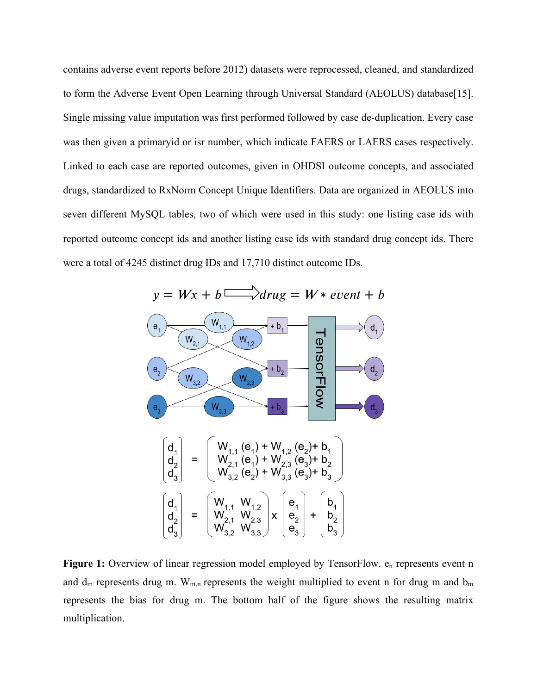contains adverse event reports before 2012) datasets were reprocessed, cleaned, and standardized to form the Adverse Event Open Learning through Universal Standard (AEOLUS) database[15]. Single missing value imputation was first performed followed by case de-duplication. Every case was then given a primaryid or isr number, which indicate FAERS or LAERS cases respectively. Linked to each case are reported outcomes, given in OHDSI outcome concepts, and associated drugs, standardized to RxNorm Concept Unique Identifiers. Data are organized in AEOLUS into seven different MySQL tables, two of which were used in this study: one listing case ids with reported outcome concept ids and another listing case ids with standard drug concept ids. There were a total of 4245 distinct drug IDs and 17,710 distinct outcome IDs.



Figure 1: Overview of linear regression model employed by TensorFlow. e<sub>n</sub> represents event n and  $d_m$  represents drug m.  $W_{m,n}$  represents the weight multiplied to event n for drug m and  $b_m$ represents the bias for drug m. The bottom half of the figure shows the resulting matrix multiplication.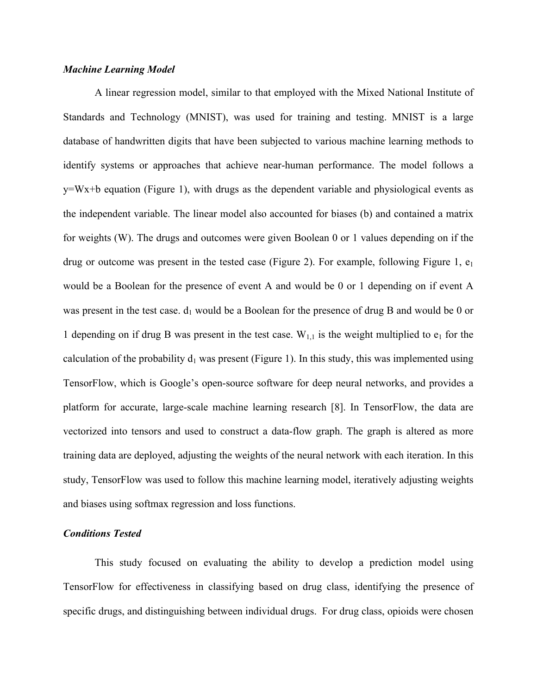#### *Machine Learning Model*

A linear regression model, similar to that employed with the Mixed National Institute of Standards and Technology (MNIST), was used for training and testing. MNIST is a large database of handwritten digits that have been subjected to various machine learning methods to identify systems or approaches that achieve near-human performance. The model follows a y=Wx+b equation (Figure 1), with drugs as the dependent variable and physiological events as the independent variable. The linear model also accounted for biases (b) and contained a matrix for weights (W). The drugs and outcomes were given Boolean 0 or 1 values depending on if the drug or outcome was present in the tested case (Figure 2). For example, following Figure 1,  $e_1$ would be a Boolean for the presence of event A and would be 0 or 1 depending on if event A was present in the test case.  $d_1$  would be a Boolean for the presence of drug B and would be 0 or 1 depending on if drug B was present in the test case.  $W_{1,1}$  is the weight multiplied to  $e_1$  for the calculation of the probability  $d_1$  was present (Figure 1). In this study, this was implemented using TensorFlow, which is Google's open-source software for deep neural networks, and provides a platform for accurate, large-scale machine learning research [8]. In TensorFlow, the data are vectorized into tensors and used to construct a data-flow graph. The graph is altered as more training data are deployed, adjusting the weights of the neural network with each iteration. In this study, TensorFlow was used to follow this machine learning model, iteratively adjusting weights and biases using softmax regression and loss functions.

#### *Conditions Tested*

This study focused on evaluating the ability to develop a prediction model using TensorFlow for effectiveness in classifying based on drug class, identifying the presence of specific drugs, and distinguishing between individual drugs. For drug class, opioids were chosen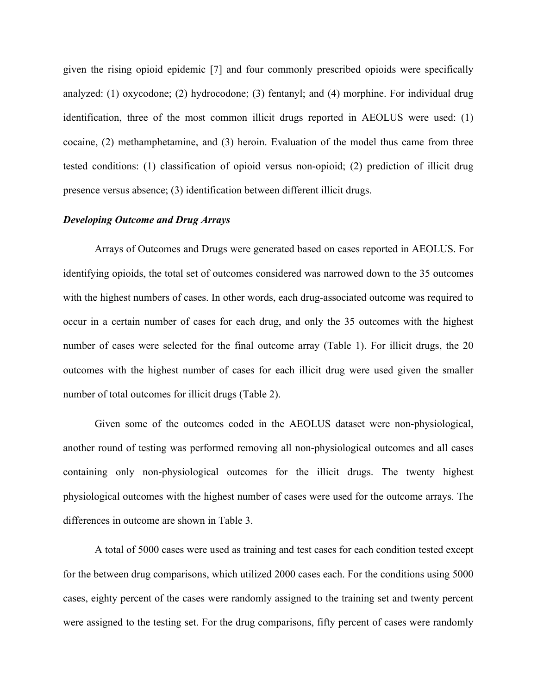given the rising opioid epidemic [7] and four commonly prescribed opioids were specifically analyzed: (1) oxycodone; (2) hydrocodone; (3) fentanyl; and (4) morphine. For individual drug identification, three of the most common illicit drugs reported in AEOLUS were used: (1) cocaine, (2) methamphetamine, and (3) heroin. Evaluation of the model thus came from three tested conditions: (1) classification of opioid versus non-opioid; (2) prediction of illicit drug presence versus absence; (3) identification between different illicit drugs.

#### *Developing Outcome and Drug Arrays*

Arrays of Outcomes and Drugs were generated based on cases reported in AEOLUS. For identifying opioids, the total set of outcomes considered was narrowed down to the 35 outcomes with the highest numbers of cases. In other words, each drug-associated outcome was required to occur in a certain number of cases for each drug, and only the 35 outcomes with the highest number of cases were selected for the final outcome array (Table 1). For illicit drugs, the 20 outcomes with the highest number of cases for each illicit drug were used given the smaller number of total outcomes for illicit drugs (Table 2).

Given some of the outcomes coded in the AEOLUS dataset were non-physiological, another round of testing was performed removing all non-physiological outcomes and all cases containing only non-physiological outcomes for the illicit drugs. The twenty highest physiological outcomes with the highest number of cases were used for the outcome arrays. The differences in outcome are shown in Table 3.

A total of 5000 cases were used as training and test cases for each condition tested except for the between drug comparisons, which utilized 2000 cases each. For the conditions using 5000 cases, eighty percent of the cases were randomly assigned to the training set and twenty percent were assigned to the testing set. For the drug comparisons, fifty percent of cases were randomly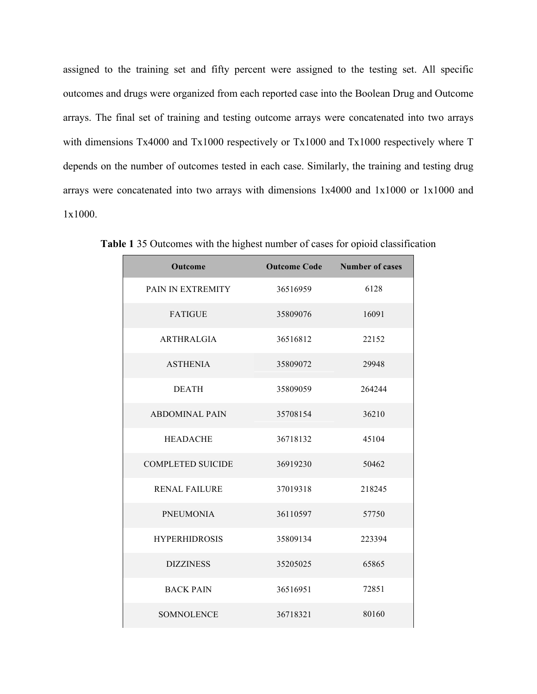assigned to the training set and fifty percent were assigned to the testing set. All specific outcomes and drugs were organized from each reported case into the Boolean Drug and Outcome arrays. The final set of training and testing outcome arrays were concatenated into two arrays with dimensions Tx4000 and Tx1000 respectively or Tx1000 and Tx1000 respectively where T depends on the number of outcomes tested in each case. Similarly, the training and testing drug arrays were concatenated into two arrays with dimensions 1x4000 and 1x1000 or 1x1000 and 1x1000.

| Outcome                  |          | <b>Outcome Code</b> Number of cases |
|--------------------------|----------|-------------------------------------|
| PAIN IN EXTREMITY        | 36516959 | 6128                                |
| <b>FATIGUE</b>           | 35809076 | 16091                               |
| <b>ARTHRALGIA</b>        | 36516812 | 22152                               |
| <b>ASTHENIA</b>          | 35809072 | 29948                               |
| <b>DEATH</b>             | 35809059 | 264244                              |
| <b>ABDOMINAL PAIN</b>    | 35708154 | 36210                               |
| <b>HEADACHE</b>          | 36718132 | 45104                               |
| <b>COMPLETED SUICIDE</b> | 36919230 | 50462                               |
| <b>RENAL FAILURE</b>     | 37019318 | 218245                              |
| <b>PNEUMONIA</b>         | 36110597 | 57750                               |
| <b>HYPERHIDROSIS</b>     | 35809134 | 223394                              |
| <b>DIZZINESS</b>         | 35205025 | 65865                               |
| <b>BACK PAIN</b>         | 36516951 | 72851                               |
| <b>SOMNOLENCE</b>        | 36718321 | 80160                               |

**Table 1** 35 Outcomes with the highest number of cases for opioid classification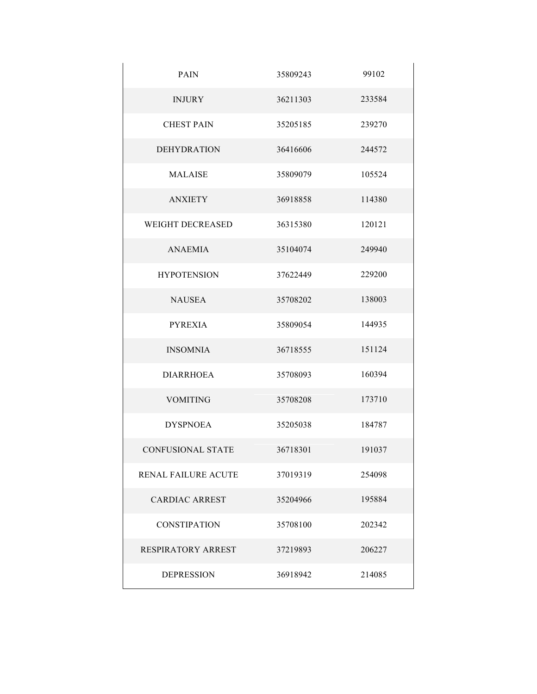| <b>PAIN</b>                | 35809243 | 99102  |
|----------------------------|----------|--------|
| <b>INJURY</b>              | 36211303 | 233584 |
| <b>CHEST PAIN</b>          | 35205185 | 239270 |
| <b>DEHYDRATION</b>         | 36416606 | 244572 |
| <b>MALAISE</b>             | 35809079 | 105524 |
| <b>ANXIETY</b>             | 36918858 | 114380 |
| <b>WEIGHT DECREASED</b>    | 36315380 | 120121 |
| <b>ANAEMIA</b>             | 35104074 | 249940 |
| <b>HYPOTENSION</b>         | 37622449 | 229200 |
| <b>NAUSEA</b>              | 35708202 | 138003 |
| <b>PYREXIA</b>             | 35809054 | 144935 |
| <b>INSOMNIA</b>            | 36718555 | 151124 |
| <b>DIARRHOEA</b>           | 35708093 | 160394 |
| <b>VOMITING</b>            | 35708208 | 173710 |
| <b>DYSPNOEA</b>            | 35205038 | 184787 |
| <b>CONFUSIONAL STATE</b>   | 36718301 | 191037 |
| <b>RENAL FAILURE ACUTE</b> | 37019319 | 254098 |
| <b>CARDIAC ARREST</b>      | 35204966 | 195884 |
| <b>CONSTIPATION</b>        | 35708100 | 202342 |
| RESPIRATORY ARREST         | 37219893 | 206227 |
| <b>DEPRESSION</b>          | 36918942 | 214085 |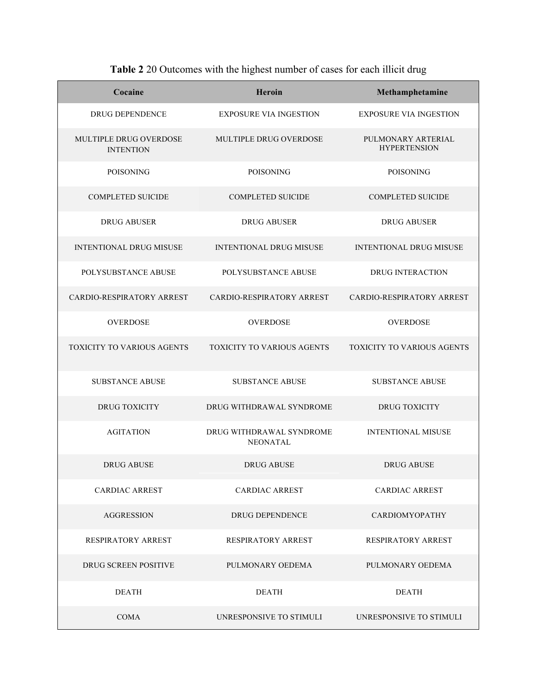| Cocaine                                           | Heroin                                      | Methamphetamine                           |
|---------------------------------------------------|---------------------------------------------|-------------------------------------------|
| <b>DRUG DEPENDENCE</b>                            | <b>EXPOSURE VIA INGESTION</b>               | <b>EXPOSURE VIA INGESTION</b>             |
| <b>MULTIPLE DRUG OVERDOSE</b><br><b>INTENTION</b> | MULTIPLE DRUG OVERDOSE                      | PULMONARY ARTERIAL<br><b>HYPERTENSION</b> |
| <b>POISONING</b>                                  | <b>POISONING</b>                            | <b>POISONING</b>                          |
| <b>COMPLETED SUICIDE</b>                          | <b>COMPLETED SUICIDE</b>                    | <b>COMPLETED SUICIDE</b>                  |
| <b>DRUG ABUSER</b>                                | <b>DRUG ABUSER</b>                          | <b>DRUG ABUSER</b>                        |
| <b>INTENTIONAL DRUG MISUSE</b>                    | <b>INTENTIONAL DRUG MISUSE</b>              | <b>INTENTIONAL DRUG MISUSE</b>            |
| POLYSUBSTANCE ABUSE                               | POLYSUBSTANCE ABUSE                         | <b>DRUG INTERACTION</b>                   |
| <b>CARDIO-RESPIRATORY ARREST</b>                  | CARDIO-RESPIRATORY ARREST                   | CARDIO-RESPIRATORY ARREST                 |
| <b>OVERDOSE</b>                                   | <b>OVERDOSE</b>                             | <b>OVERDOSE</b>                           |
| <b>TOXICITY TO VARIOUS AGENTS</b>                 | <b>TOXICITY TO VARIOUS AGENTS</b>           | <b>TOXICITY TO VARIOUS AGENTS</b>         |
| <b>SUBSTANCE ABUSE</b>                            | <b>SUBSTANCE ABUSE</b>                      | <b>SUBSTANCE ABUSE</b>                    |
| DRUG TOXICITY                                     | DRUG WITHDRAWAL SYNDROME                    | <b>DRUG TOXICITY</b>                      |
| <b>AGITATION</b>                                  | DRUG WITHDRAWAL SYNDROME<br><b>NEONATAL</b> | <b>INTENTIONAL MISUSE</b>                 |
| <b>DRUG ABUSE</b>                                 | <b>DRUG ABUSE</b>                           | <b>DRUG ABUSE</b>                         |
| <b>CARDIAC ARREST</b>                             | <b>CARDIAC ARREST</b>                       | <b>CARDIAC ARREST</b>                     |
| <b>AGGRESSION</b>                                 | <b>DRUG DEPENDENCE</b>                      | <b>CARDIOMYOPATHY</b>                     |
| <b>RESPIRATORY ARREST</b>                         | <b>RESPIRATORY ARREST</b>                   | <b>RESPIRATORY ARREST</b>                 |
| <b>DRUG SCREEN POSITIVE</b>                       | PULMONARY OEDEMA                            | PULMONARY OEDEMA                          |
| <b>DEATH</b>                                      | <b>DEATH</b>                                | <b>DEATH</b>                              |
| <b>COMA</b>                                       | UNRESPONSIVE TO STIMULI                     | UNRESPONSIVE TO STIMULI                   |

**Table 2** 20 Outcomes with the highest number of cases for each illicit drug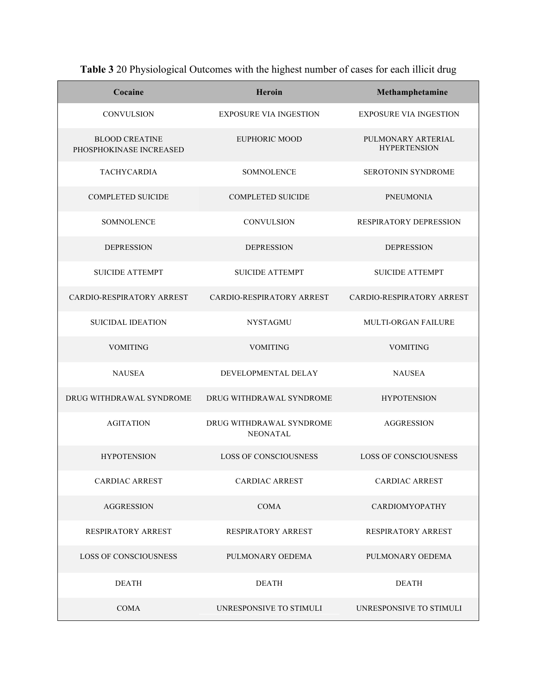| Cocaine                                          | Heroin                                      | Methamphetamine                           |
|--------------------------------------------------|---------------------------------------------|-------------------------------------------|
| <b>CONVULSION</b>                                | <b>EXPOSURE VIA INGESTION</b>               | <b>EXPOSURE VIA INGESTION</b>             |
| <b>BLOOD CREATINE</b><br>PHOSPHOKINASE INCREASED | EUPHORIC MOOD                               | PULMONARY ARTERIAL<br><b>HYPERTENSION</b> |
| <b>TACHYCARDIA</b>                               | <b>SOMNOLENCE</b>                           | <b>SEROTONIN SYNDROME</b>                 |
| <b>COMPLETED SUICIDE</b>                         | <b>COMPLETED SUICIDE</b>                    | <b>PNEUMONIA</b>                          |
| <b>SOMNOLENCE</b>                                | <b>CONVULSION</b>                           | RESPIRATORY DEPRESSION                    |
| <b>DEPRESSION</b>                                | <b>DEPRESSION</b>                           | <b>DEPRESSION</b>                         |
| <b>SUICIDE ATTEMPT</b>                           | <b>SUICIDE ATTEMPT</b>                      | <b>SUICIDE ATTEMPT</b>                    |
| CARDIO-RESPIRATORY ARREST                        | <b>CARDIO-RESPIRATORY ARREST</b>            | <b>CARDIO-RESPIRATORY ARREST</b>          |
| <b>SUICIDAL IDEATION</b>                         | <b>NYSTAGMU</b>                             | <b>MULTI-ORGAN FAILURE</b>                |
| <b>VOMITING</b>                                  | <b>VOMITING</b>                             | <b>VOMITING</b>                           |
| <b>NAUSEA</b>                                    | DEVELOPMENTAL DELAY                         | <b>NAUSEA</b>                             |
| DRUG WITHDRAWAL SYNDROME                         | DRUG WITHDRAWAL SYNDROME                    | <b>HYPOTENSION</b>                        |
| <b>AGITATION</b>                                 | DRUG WITHDRAWAL SYNDROME<br><b>NEONATAL</b> | <b>AGGRESSION</b>                         |
| <b>HYPOTENSION</b>                               | <b>LOSS OF CONSCIOUSNESS</b>                | <b>LOSS OF CONSCIOUSNESS</b>              |
| <b>CARDIAC ARREST</b>                            | <b>CARDIAC ARREST</b>                       | <b>CARDIAC ARREST</b>                     |
| <b>AGGRESSION</b>                                | <b>COMA</b>                                 | <b>CARDIOMYOPATHY</b>                     |
| <b>RESPIRATORY ARREST</b>                        | <b>RESPIRATORY ARREST</b>                   | <b>RESPIRATORY ARREST</b>                 |
| <b>LOSS OF CONSCIOUSNESS</b>                     | PULMONARY OEDEMA                            | PULMONARY OEDEMA                          |
| <b>DEATH</b>                                     | <b>DEATH</b>                                | <b>DEATH</b>                              |
| <b>COMA</b>                                      | UNRESPONSIVE TO STIMULI                     | UNRESPONSIVE TO STIMULI                   |

**Table 3** 20 Physiological Outcomes with the highest number of cases for each illicit drug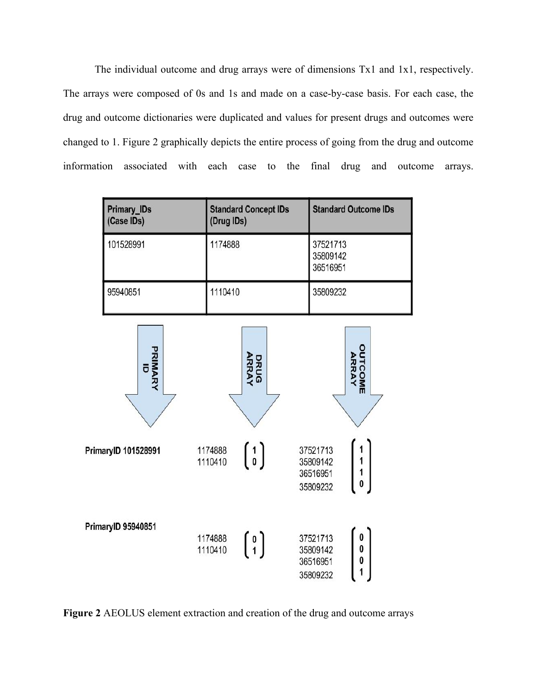The individual outcome and drug arrays were of dimensions Tx1 and 1x1, respectively. The arrays were composed of 0s and 1s and made on a case-by-case basis. For each case, the drug and outcome dictionaries were duplicated and values for present drugs and outcomes were changed to 1. Figure 2 graphically depicts the entire process of going from the drug and outcome information associated with each case to the final drug and outcome arrays.

| <b>Primary_IDs</b><br>(Case IDs) | <b>Standard Concept IDs</b><br>(Drug IDs) | <b>Standard Outcome IDs</b>      |
|----------------------------------|-------------------------------------------|----------------------------------|
| 101528991                        | 1174888                                   | 37521713<br>35809142<br>36516951 |
| 95940851                         | 1110410                                   | 35809232                         |
|                                  |                                           |                                  |



**Figure 2** AEOLUS element extraction and creation of the drug and outcome arrays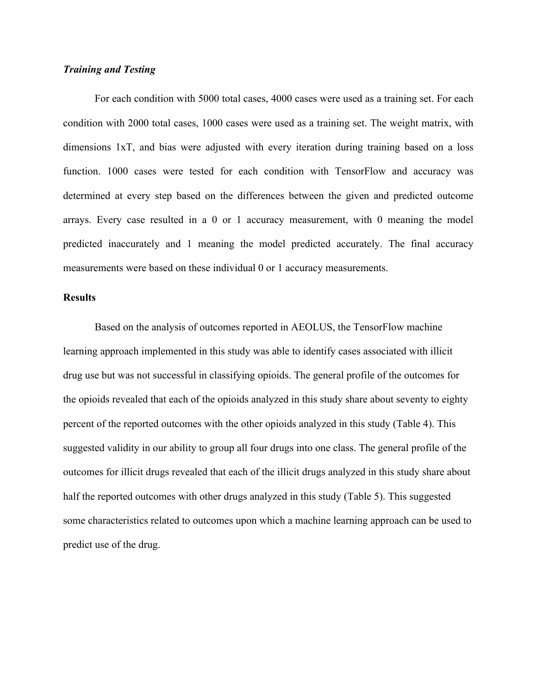## *Training and Testing*

For each condition with 5000 total cases, 4000 cases were used as a training set. For each condition with 2000 total cases, 1000 cases were used as a training set. The weight matrix, with dimensions 1xT, and bias were adjusted with every iteration during training based on a loss function. 1000 cases were tested for each condition with TensorFlow and accuracy was determined at every step based on the differences between the given and predicted outcome arrays. Every case resulted in a 0 or 1 accuracy measurement, with 0 meaning the model predicted inaccurately and 1 meaning the model predicted accurately. The final accuracy measurements were based on these individual 0 or 1 accuracy measurements.

#### **Results**

Based on the analysis of outcomes reported in AEOLUS, the TensorFlow machine learning approach implemented in this study was able to identify cases associated with illicit drug use but was not successful in classifying opioids. The general profile of the outcomes for the opioids revealed that each of the opioids analyzed in this study share about seventy to eighty percent of the reported outcomes with the other opioids analyzed in this study (Table 4). This suggested validity in our ability to group all four drugs into one class. The general profile of the outcomes for illicit drugs revealed that each of the illicit drugs analyzed in this study share about half the reported outcomes with other drugs analyzed in this study (Table 5). This suggested some characteristics related to outcomes upon which a machine learning approach can be used to predict use of the drug.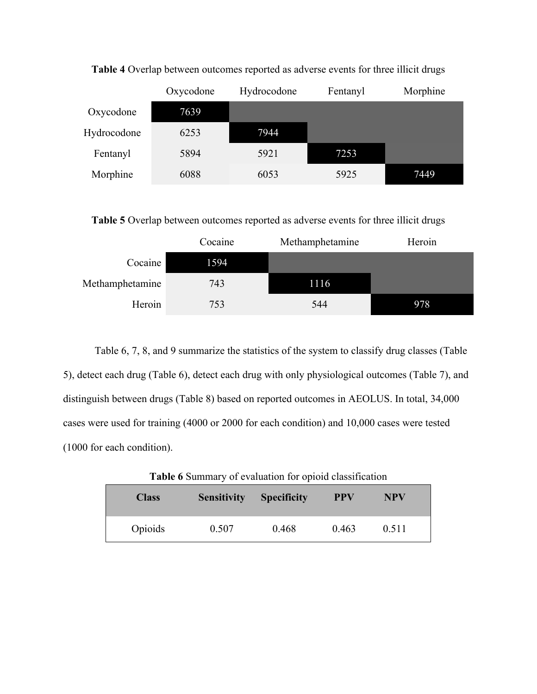|             | Oxycodone | Hydrocodone | Fentanyl | Morphine |
|-------------|-----------|-------------|----------|----------|
| Oxycodone   | 7639      |             |          |          |
| Hydrocodone | 6253      | 7944        |          |          |
| Fentanyl    | 5894      | 5921        | 7253     |          |
| Morphine    | 6088      | 6053        | 5925     | 7449     |

**Table 4** Overlap between outcomes reported as adverse events for three illicit drugs

**Table 5** Overlap between outcomes reported as adverse events for three illicit drugs

|                 | Cocaine | Methamphetamine | Heroin |
|-----------------|---------|-----------------|--------|
| Cocaine         | 1594    |                 |        |
| Methamphetamine | 743     | 1116            |        |
| Heroin          | 753     | 544             | 978    |

Table 6, 7, 8, and 9 summarize the statistics of the system to classify drug classes (Table 5), detect each drug (Table 6), detect each drug with only physiological outcomes (Table 7), and distinguish between drugs (Table 8) based on reported outcomes in AEOLUS. In total, 34,000 cases were used for training (4000 or 2000 for each condition) and 10,000 cases were tested (1000 for each condition).

| <b>Class</b> | <b>Sensitivity</b> | <b>Specificity</b> | <b>PPV</b> | NPV   |  |
|--------------|--------------------|--------------------|------------|-------|--|
| Opioids      | 0.507              | 0.468              | 0.463      | 0.511 |  |

**Table 6** Summary of evaluation for opioid classification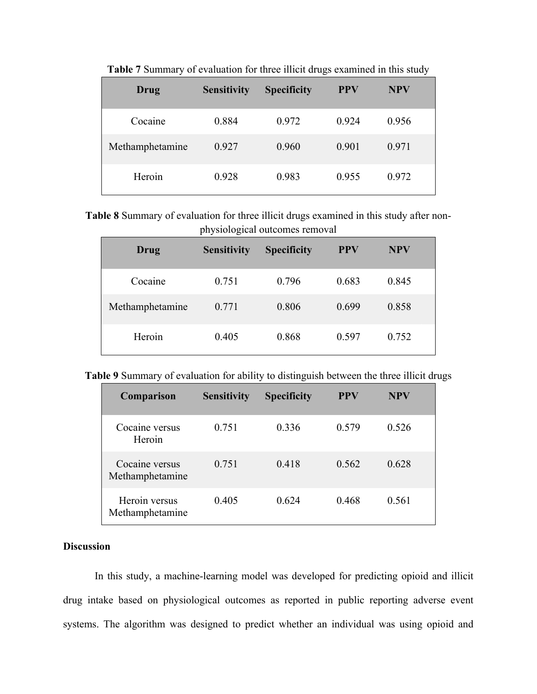| Drug            | <b>Sensitivity</b> | <b>Specificity</b> | <b>PPV</b> | <b>NPV</b> |
|-----------------|--------------------|--------------------|------------|------------|
| Cocaine         | 0.884              | 0.972              | 0.924      | 0.956      |
| Methamphetamine | 0.927              | 0.960              | 0.901      | 0.971      |
| Heroin          | 0.928              | 0.983              | 0.955      | 0.972      |

**Table 7** Summary of evaluation for three illicit drugs examined in this study

**Table 8** Summary of evaluation for three illicit drugs examined in this study after nonphysiological outcomes removal

| Drug            | <b>Sensitivity</b> | <b>Specificity</b> | <b>PPV</b> | <b>NPV</b> |
|-----------------|--------------------|--------------------|------------|------------|
| Cocaine         | 0.751              | 0.796              | 0.683      | 0.845      |
| Methamphetamine | 0.771              | 0.806              | 0.699      | 0.858      |
| Heroin          | 0.405              | 0.868              | 0.597      | 0.752      |

**Table 9** Summary of evaluation for ability to distinguish between the three illicit drugs

| Comparison                        | <b>Sensitivity</b> | <b>Specificity</b> | <b>PPV</b> | <b>NPV</b> |
|-----------------------------------|--------------------|--------------------|------------|------------|
| Cocaine versus<br>Heroin          | 0.751              | 0.336              | 0.579      | 0.526      |
| Cocaine versus<br>Methamphetamine | 0.751              | 0.418              | 0.562      | 0.628      |
| Heroin versus<br>Methamphetamine  | 0.405              | 0.624              | 0.468      | 0.561      |

# **Discussion**

In this study, a machine-learning model was developed for predicting opioid and illicit drug intake based on physiological outcomes as reported in public reporting adverse event systems. The algorithm was designed to predict whether an individual was using opioid and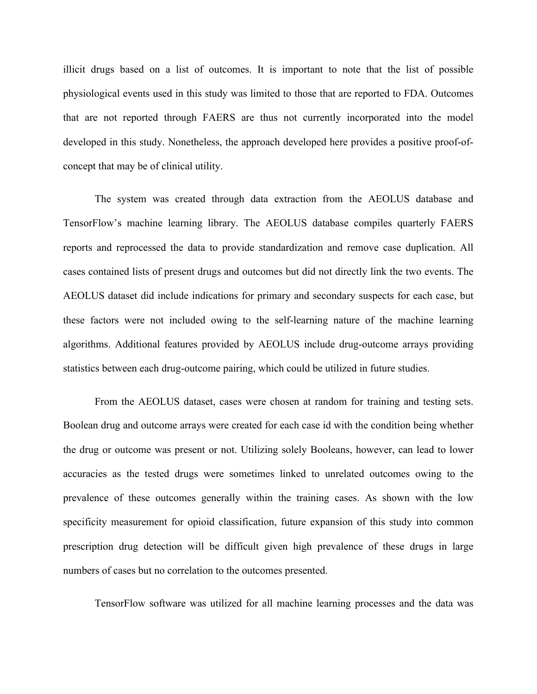illicit drugs based on a list of outcomes. It is important to note that the list of possible physiological events used in this study was limited to those that are reported to FDA. Outcomes that are not reported through FAERS are thus not currently incorporated into the model developed in this study. Nonetheless, the approach developed here provides a positive proof-ofconcept that may be of clinical utility.

The system was created through data extraction from the AEOLUS database and TensorFlow's machine learning library. The AEOLUS database compiles quarterly FAERS reports and reprocessed the data to provide standardization and remove case duplication. All cases contained lists of present drugs and outcomes but did not directly link the two events. The AEOLUS dataset did include indications for primary and secondary suspects for each case, but these factors were not included owing to the self-learning nature of the machine learning algorithms. Additional features provided by AEOLUS include drug-outcome arrays providing statistics between each drug-outcome pairing, which could be utilized in future studies.

From the AEOLUS dataset, cases were chosen at random for training and testing sets. Boolean drug and outcome arrays were created for each case id with the condition being whether the drug or outcome was present or not. Utilizing solely Booleans, however, can lead to lower accuracies as the tested drugs were sometimes linked to unrelated outcomes owing to the prevalence of these outcomes generally within the training cases. As shown with the low specificity measurement for opioid classification, future expansion of this study into common prescription drug detection will be difficult given high prevalence of these drugs in large numbers of cases but no correlation to the outcomes presented.

TensorFlow software was utilized for all machine learning processes and the data was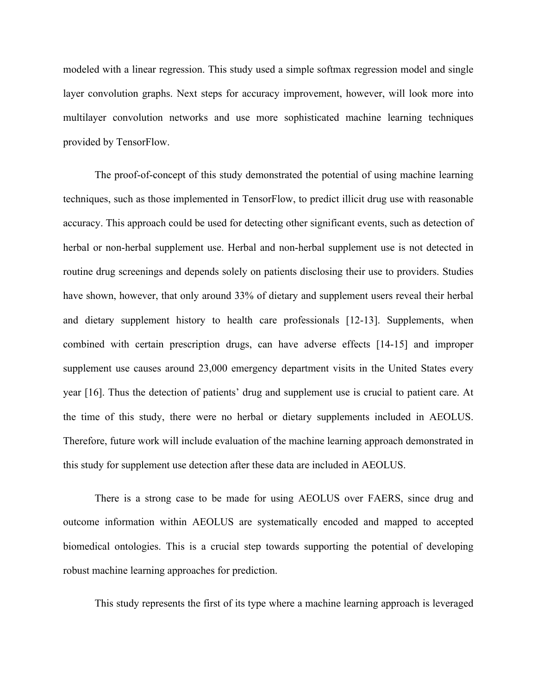modeled with a linear regression. This study used a simple softmax regression model and single layer convolution graphs. Next steps for accuracy improvement, however, will look more into multilayer convolution networks and use more sophisticated machine learning techniques provided by TensorFlow.

The proof-of-concept of this study demonstrated the potential of using machine learning techniques, such as those implemented in TensorFlow, to predict illicit drug use with reasonable accuracy. This approach could be used for detecting other significant events, such as detection of herbal or non-herbal supplement use. Herbal and non-herbal supplement use is not detected in routine drug screenings and depends solely on patients disclosing their use to providers. Studies have shown, however, that only around 33% of dietary and supplement users reveal their herbal and dietary supplement history to health care professionals [12-13]. Supplements, when combined with certain prescription drugs, can have adverse effects [14-15] and improper supplement use causes around 23,000 emergency department visits in the United States every year [16]. Thus the detection of patients' drug and supplement use is crucial to patient care. At the time of this study, there were no herbal or dietary supplements included in AEOLUS. Therefore, future work will include evaluation of the machine learning approach demonstrated in this study for supplement use detection after these data are included in AEOLUS.

There is a strong case to be made for using AEOLUS over FAERS, since drug and outcome information within AEOLUS are systematically encoded and mapped to accepted biomedical ontologies. This is a crucial step towards supporting the potential of developing robust machine learning approaches for prediction.

This study represents the first of its type where a machine learning approach is leveraged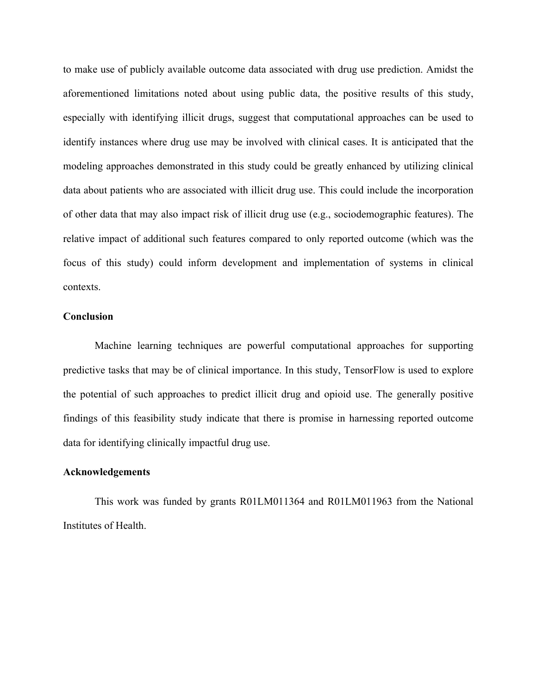to make use of publicly available outcome data associated with drug use prediction. Amidst the aforementioned limitations noted about using public data, the positive results of this study, especially with identifying illicit drugs, suggest that computational approaches can be used to identify instances where drug use may be involved with clinical cases. It is anticipated that the modeling approaches demonstrated in this study could be greatly enhanced by utilizing clinical data about patients who are associated with illicit drug use. This could include the incorporation of other data that may also impact risk of illicit drug use (e.g., sociodemographic features). The relative impact of additional such features compared to only reported outcome (which was the focus of this study) could inform development and implementation of systems in clinical contexts.

#### **Conclusion**

Machine learning techniques are powerful computational approaches for supporting predictive tasks that may be of clinical importance. In this study, TensorFlow is used to explore the potential of such approaches to predict illicit drug and opioid use. The generally positive findings of this feasibility study indicate that there is promise in harnessing reported outcome data for identifying clinically impactful drug use.

## **Acknowledgements**

This work was funded by grants R01LM011364 and R01LM011963 from the National Institutes of Health.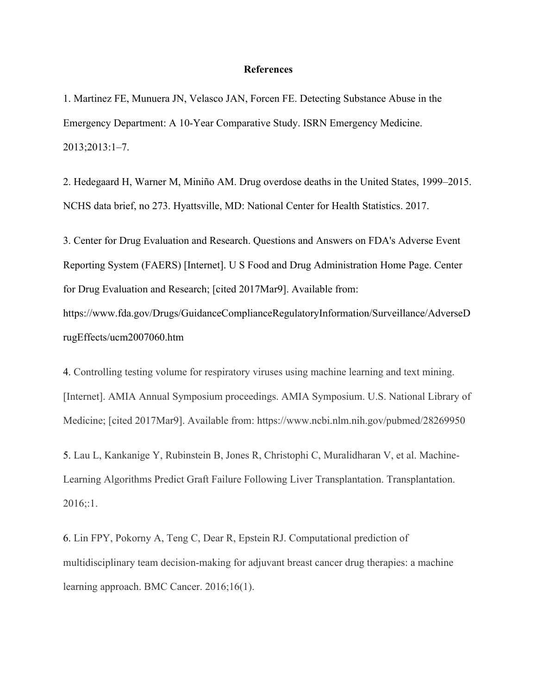#### **References**

1. Martinez FE, Munuera JN, Velasco JAN, Forcen FE. Detecting Substance Abuse in the Emergency Department: A 10-Year Comparative Study. ISRN Emergency Medicine. 2013;2013:1–7.

2. Hedegaard H, Warner M, Miniño AM. Drug overdose deaths in the United States, 1999–2015. NCHS data brief, no 273. Hyattsville, MD: National Center for Health Statistics. 2017.

3. Center for Drug Evaluation and Research. Questions and Answers on FDA's Adverse Event Reporting System (FAERS) [Internet]. U S Food and Drug Administration Home Page. Center for Drug Evaluation and Research; [cited 2017Mar9]. Available from:

https://www.fda.gov/Drugs/GuidanceComplianceRegulatoryInformation/Surveillance/AdverseD rugEffects/ucm2007060.htm

4. Controlling testing volume for respiratory viruses using machine learning and text mining. [Internet]. AMIA Annual Symposium proceedings. AMIA Symposium. U.S. National Library of Medicine; [cited 2017Mar9]. Available from: https://www.ncbi.nlm.nih.gov/pubmed/28269950

5. Lau L, Kankanige Y, Rubinstein B, Jones R, Christophi C, Muralidharan V, et al. Machine-Learning Algorithms Predict Graft Failure Following Liver Transplantation. Transplantation.  $2016::1.$ 

6. Lin FPY, Pokorny A, Teng C, Dear R, Epstein RJ. Computational prediction of multidisciplinary team decision-making for adjuvant breast cancer drug therapies: a machine learning approach. BMC Cancer. 2016;16(1).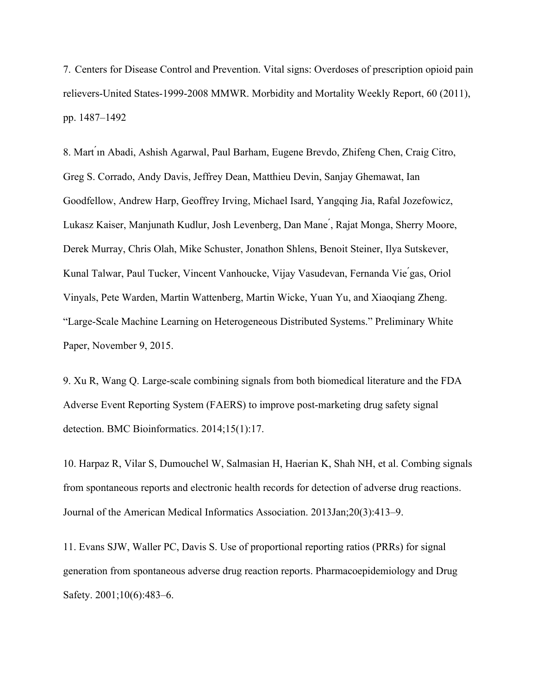7. Centers for Disease Control and Prevention. Vital signs: Overdoses of prescription opioid pain relievers-United States-1999-2008 MMWR. Morbidity and Mortality Weekly Report, 60 (2011), pp. 1487–1492

8. Mart ́ın Abadi, Ashish Agarwal, Paul Barham, Eugene Brevdo, Zhifeng Chen, Craig Citro, Greg S. Corrado, Andy Davis, Jeffrey Dean, Matthieu Devin, Sanjay Ghemawat, Ian Goodfellow, Andrew Harp, Geoffrey Irving, Michael Isard, Yangqing Jia, Rafal Jozefowicz, Lukasz Kaiser, Manjunath Kudlur, Josh Levenberg, Dan Mane ́, Rajat Monga, Sherry Moore, Derek Murray, Chris Olah, Mike Schuster, Jonathon Shlens, Benoit Steiner, Ilya Sutskever, Kunal Talwar, Paul Tucker, Vincent Vanhoucke, Vijay Vasudevan, Fernanda Vie ́gas, Oriol Vinyals, Pete Warden, Martin Wattenberg, Martin Wicke, Yuan Yu, and Xiaoqiang Zheng. "Large-Scale Machine Learning on Heterogeneous Distributed Systems." Preliminary White Paper, November 9, 2015.

9. Xu R, Wang Q. Large-scale combining signals from both biomedical literature and the FDA Adverse Event Reporting System (FAERS) to improve post-marketing drug safety signal detection. BMC Bioinformatics. 2014;15(1):17.

10. Harpaz R, Vilar S, Dumouchel W, Salmasian H, Haerian K, Shah NH, et al. Combing signals from spontaneous reports and electronic health records for detection of adverse drug reactions. Journal of the American Medical Informatics Association. 2013Jan;20(3):413–9.

11. Evans SJW, Waller PC, Davis S. Use of proportional reporting ratios (PRRs) for signal generation from spontaneous adverse drug reaction reports. Pharmacoepidemiology and Drug Safety. 2001;10(6):483–6.